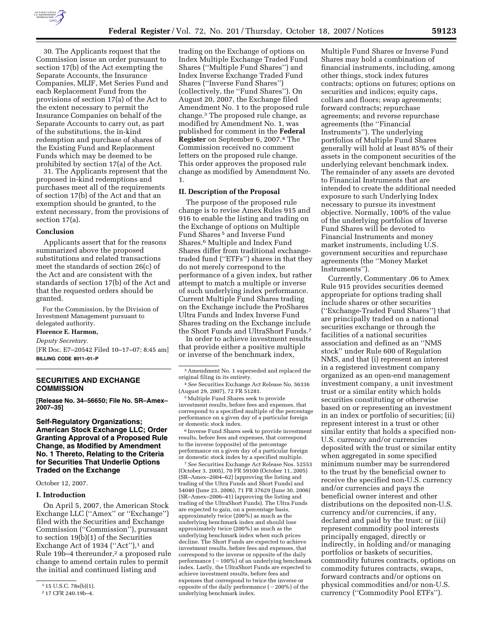

30. The Applicants request that the Commission issue an order pursuant to section 17(b) of the Act exempting the Separate Accounts, the Insurance Companies, MLIF, Met Series Fund and each Replacement Fund from the provisions of section 17(a) of the Act to the extent necessary to permit the Insurance Companies on behalf of the Separate Accounts to carry out, as part of the substitutions, the in-kind redemption and purchase of shares of the Existing Fund and Replacement Funds which may be deemed to be prohibited by section 17(a) of the Act.

31. The Applicants represent that the proposed in-kind redemptions and purchases meet all of the requirements of section 17(b) of the Act and that an exemption should be granted, to the extent necessary, from the provisions of section 17(a).

#### **Conclusion**

Applicants assert that for the reasons summarized above the proposed substitutions and related transactions meet the standards of section 26(c) of the Act and are consistent with the standards of section 17(b) of the Act and that the requested orders should be granted.

For the Commission, by the Division of Investment Management pursuant to delegated authority.

# **Florence E. Harmon,**

*Deputy Secretary.* 

[FR Doc. E7–20542 Filed 10–17–07; 8:45 am] **BILLING CODE 8011–01–P** 

# **SECURITIES AND EXCHANGE COMMISSION**

**[Release No. 34–56650; File No. SR–Amex– 2007–35]** 

**Self-Regulatory Organizations; American Stock Exchange LLC; Order Granting Approval of a Proposed Rule Change, as Modified by Amendment No. 1 Thereto, Relating to the Criteria for Securities That Underlie Options Traded on the Exchange** 

# October 12, 2007.

# **I. Introduction**

On April 5, 2007, the American Stock Exchange LLC (''Amex'' or ''Exchange'') filed with the Securities and Exchange Commission (''Commission''), pursuant to section 19(b)(1) of the Securities Exchange Act of 1934 ("Act"), $<sup>1</sup>$  and</sup> Rule 19b–4 thereunder,2 a proposed rule change to amend certain rules to permit the initial and continued listing and

trading on the Exchange of options on Index Multiple Exchange Traded Fund Shares (''Multiple Fund Shares'') and Index Inverse Exchange Traded Fund Shares (''Inverse Fund Shares'') (collectively, the ''Fund Shares''). On August 20, 2007, the Exchange filed Amendment No. 1 to the proposed rule change.3 The proposed rule change, as modified by Amendment No. 1, was published for comment in the **Federal Register** on September 6, 2007.4 The Commission received no comment letters on the proposed rule change. This order approves the proposed rule change as modified by Amendment No. 1.

# **II. Description of the Proposal**

The purpose of the proposed rule change is to revise Amex Rules 915 and 916 to enable the listing and trading on the Exchange of options on Multiple Fund Shares<sup>5</sup> and Inverse Fund Shares.6 Multiple and Index Fund Shares differ from traditional exchangetraded fund (''ETFs'') shares in that they do not merely correspond to the performance of a given index, but rather attempt to match a multiple or inverse of such underlying index performance. Current Multiple Fund Shares trading on the Exchange include the ProShares Ultra Funds and Index Inverse Fund Shares trading on the Exchange include the Short Funds and UltraShort Funds.7

In order to achieve investment results that provide either a positive multiple or inverse of the benchmark index,

5Multiple Fund Shares seek to provide investment results, before fees and expenses, that correspond to a specified multiple of the percentage performance on a given day of a particular foreign or domestic stock index.

6 Inverse Fund Shares seek to provide investment results, before fees and expenses, that correspond to the inverse (opposite) of the percentage performance on a given day of a particular foreign or domestic stock index by a specified multiple.

7*See* Securities Exchange Act Release Nos. 52553 (October 3, 2005), 70 FR 59100 (October 11, 2005) (SR–Amex–2004–62) (approving the listing and trading of the Ultra Funds and Short Funds) and 54040 (June 23, 2006), 71 FR 37629 (June 30, 2006) (SR–Amex–2006–41) (approving the listing and trading of the UltraShort Funds). The Ultra Funds are expected to gain, on a percentage basis, approximately twice (200%) as much as the underlying benchmark index and should lose approximately twice (200%) as much as the underlying benchmark index when such prices decline. The Short Funds are expected to achieve investment results, before fees and expenses, that correspond to the inverse or opposite of the daily performance  $(-100\%)$  of an underlying benchmark index. Lastly, the UltraShort Funds are expected to achieve investment results, before fees and expenses that correspond to twice the inverse or opposite of the daily performance  $(-200\%)$  of the underlying benchmark index.

Multiple Fund Shares or Inverse Fund Shares may hold a combination of financial instruments, including, among other things, stock index futures contracts; options on futures; options on securities and indices; equity caps, collars and floors; swap agreements; forward contracts; repurchase agreements; and reverse repurchase agreements (the ''Financial Instruments''). The underlying portfolios of Multiple Fund Shares generally will hold at least 85% of their assets in the component securities of the underlying relevant benchmark index. The remainder of any assets are devoted to Financial Instruments that are intended to create the additional needed exposure to such Underlying Index necessary to pursue its investment objective. Normally, 100% of the value of the underlying portfolios of Inverse Fund Shares will be devoted to Financial Instruments and money market instruments, including U.S. government securities and repurchase agreements (the ''Money Market Instruments'').

Currently, Commentary .06 to Amex Rule 915 provides securities deemed appropriate for options trading shall include shares or other securities (''Exchange-Traded Fund Shares'') that are principally traded on a national securities exchange or through the facilities of a national securities association and defined as an ''NMS stock'' under Rule 600 of Regulation NMS, and that (i) represent an interest in a registered investment company organized as an open-end management investment company, a unit investment trust or a similar entity which holds securities constituting or otherwise based on or representing an investment in an index or portfolio of securities; (ii) represent interest in a trust or other similar entity that holds a specified non-U.S. currency and/or currencies deposited with the trust or similar entity when aggregated in some specified minimum number may be surrendered to the trust by the beneficial owner to receive the specified non-U.S. currency and/or currencies and pays the beneficial owner interest and other distributions on the deposited non-U.S. currency and/or currencies, if any, declared and paid by the trust; or (iii) represent commodity pool interests principally engaged, directly or indirectly, in holding and/or managing portfolios or baskets of securities, commodity futures contracts, options on commodity futures contracts, swaps, forward contracts and/or options on physical commodities and/or non-U.S. currency (''Commodity Pool ETFs'').

<sup>1</sup> 15 U.S.C. 78s(b)(1).

<sup>2</sup> 17 CFR 240.19b–4.

<sup>3</sup>Amendment No. 1 superseded and replaced the original filing in its entirety.

<sup>4</sup>*See* Securities Exchange Act Release No. 56336 (August 29, 2007), 72 FR 51281.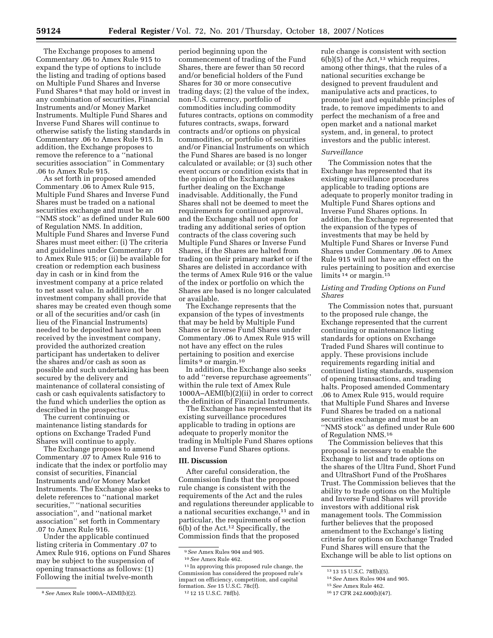The Exchange proposes to amend Commentary .06 to Amex Rule 915 to expand the type of options to include the listing and trading of options based on Multiple Fund Shares and Inverse Fund Shares 8 that may hold or invest in any combination of securities, Financial Instruments and/or Money Market Instruments. Multiple Fund Shares and Inverse Fund Shares will continue to otherwise satisfy the listing standards in Commentary .06 to Amex Rule 915. In addition, the Exchange proposes to remove the reference to a ''national securities association'' in Commentary .06 to Amex Rule 915.

As set forth in proposed amended Commentary .06 to Amex Rule 915, Multiple Fund Shares and Inverse Fund Shares must be traded on a national securities exchange and must be an ''NMS stock'' as defined under Rule 600 of Regulation NMS. In addition, Multiple Fund Shares and Inverse Fund Shares must meet either: (i) The criteria and guidelines under Commentary .01 to Amex Rule 915; or (ii) be available for creation or redemption each business day in cash or in kind from the investment company at a price related to net asset value. In addition, the investment company shall provide that shares may be created even though some or all of the securities and/or cash (in lieu of the Financial Instruments) needed to be deposited have not been received by the investment company, provided the authorized creation participant has undertaken to deliver the shares and/or cash as soon as possible and such undertaking has been secured by the delivery and maintenance of collateral consisting of cash or cash equivalents satisfactory to the fund which underlies the option as described in the prospectus.

The current continuing or maintenance listing standards for options on Exchange Traded Fund Shares will continue to apply.

The Exchange proposes to amend Commentary .07 to Amex Rule 916 to indicate that the index or portfolio may consist of securities, Financial Instruments and/or Money Market Instruments. The Exchange also seeks to delete references to ''national market securities,'' ''national securities association'', and ''national market association'' set forth in Commentary .07 to Amex Rule 916.

Under the applicable continued listing criteria in Commentary .07 to Amex Rule 916, options on Fund Shares may be subject to the suspension of opening transactions as follows: (1) Following the initial twelve-month

period beginning upon the commencement of trading of the Fund Shares, there are fewer than 50 record and/or beneficial holders of the Fund Shares for 30 or more consecutive trading days; (2) the value of the index, non-U.S. currency, portfolio of commodities including commodity futures contracts, options on commodity futures contracts, swaps, forward contracts and/or options on physical commodities, or portfolio of securities and/or Financial Instruments on which the Fund Shares are based is no longer calculated or available; or (3) such other event occurs or condition exists that in the opinion of the Exchange makes further dealing on the Exchange inadvisable. Additionally, the Fund Shares shall not be deemed to meet the requirements for continued approval, and the Exchange shall not open for trading any additional series of option contracts of the class covering such Multiple Fund Shares or Inverse Fund Shares, if the Shares are halted from trading on their primary market or if the Shares are delisted in accordance with the terms of Amex Rule 916 or the value of the index or portfolio on which the Shares are based is no longer calculated or available.

The Exchange represents that the expansion of the types of investments that may be held by Multiple Fund Shares or Inverse Fund Shares under Commentary .06 to Amex Rule 915 will not have any effect on the rules pertaining to position and exercise limits <sup>9</sup> or margin.<sup>10</sup>

In addition, the Exchange also seeks to add ''reverse repurchase agreements'' within the rule text of Amex Rule 1000A–AEMI(b)(2)(ii) in order to correct the definition of Financial Instruments.

The Exchange has represented that its existing surveillance procedures applicable to trading in options are adequate to properly monitor the trading in Multiple Fund Shares options and Inverse Fund Shares options.

# **III. Discussion**

After careful consideration, the Commission finds that the proposed rule change is consistent with the requirements of the Act and the rules and regulations thereunder applicable to a national securities exchange,<sup>11</sup> and in particular, the requirements of section  $6(b)$  of the Act.<sup>12</sup> Specifically, the Commission finds that the proposed

11 In approving this proposed rule change, the Commission has considered the proposed rule's impact on efficiency, competition, and capital formation. *See* 15 U.S.C. 78c(f). 12 12 15 U.S.C. 78f(b).

rule change is consistent with section  $6(b)(5)$  of the Act,<sup>13</sup> which requires, among other things, that the rules of a national securities exchange be designed to prevent fraudulent and manipulative acts and practices, to promote just and equitable principles of trade, to remove impediments to and perfect the mechanism of a free and open market and a national market system, and, in general, to protect investors and the public interest.

#### *Surveillance*

The Commission notes that the Exchange has represented that its existing surveillance procedures applicable to trading options are adequate to properly monitor trading in Multiple Fund Shares options and Inverse Fund Shares options. In addition, the Exchange represented that the expansion of the types of investments that may be held by Multiple Fund Shares or Inverse Fund Shares under Commentary .06 to Amex Rule 915 will not have any effect on the rules pertaining to position and exercise limits <sup>14</sup> or margin.<sup>15</sup>

# *Listing and Trading Options on Fund Shares*

The Commission notes that, pursuant to the proposed rule change, the Exchange represented that the current continuing or maintenance listing standards for options on Exchange Traded Fund Shares will continue to apply. These provisions include requirements regarding initial and continued listing standards, suspension of opening transactions, and trading halts. Proposed amended Commentary .06 to Amex Rule 915, would require that Multiple Fund Shares and Inverse Fund Shares be traded on a national securities exchange and must be an ''NMS stock'' as defined under Rule 600 of Regulation NMS.16

The Commission believes that this proposal is necessary to enable the Exchange to list and trade options on the shares of the Ultra Fund, Short Fund and UltraShort Fund of the ProShares Trust. The Commission believes that the ability to trade options on the Multiple and Inverse Fund Shares will provide investors with additional risk management tools. The Commission further believes that the proposed amendment to the Exchange's listing criteria for options on Exchange Traded Fund Shares will ensure that the Exchange will be able to list options on

<sup>8</sup>*See* Amex Rule 1000A–AEMI(b)(2).

<sup>9</sup>*See* Amex Rules 904 and 905.

<sup>10</sup>*See* Amex Rule 462.

<sup>13</sup> 13 15 U.S.C. 78f(b)(5).

<sup>14</sup>*See* Amex Rules 904 and 905.

<sup>15</sup>*See* Amex Rule 462.

<sup>16</sup> 17 CFR 242.600(b)(47).